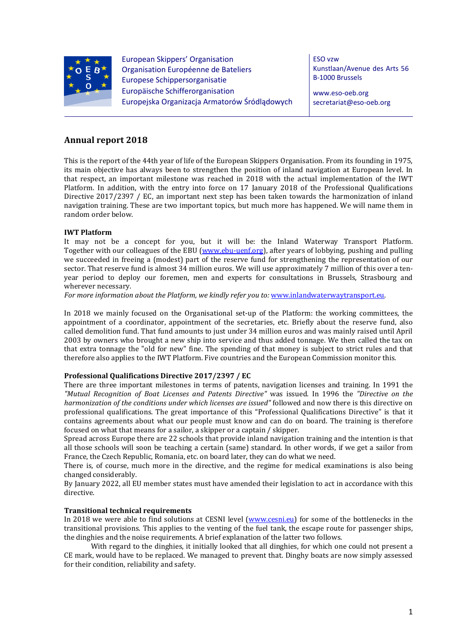

European Skippers' Organisation Organisation Européenne de Bateliers Europese Schippersorganisatie Europäische Schifferorganisation Europejska Organizacja Armatorów Śródlądowych ESO vzw Kunstlaan/Avenue des Arts 56 B-1000 Brussels

www.eso-oeb.org secretariat@eso-oeb.org

# **Annual report 2018**

This is the report of the 44th year of life of the European Skippers Organisation. From its founding in 1975, its main objective has always been to strengthen the position of inland navigation at European level. In that respect, an important milestone was reached in 2018 with the actual implementation of the IWT Platform. In addition, with the entry into force on 17 January 2018 of the Professional Qualifications Directive 2017/2397 / EC, an important next step has been taken towards the harmonization of inland navigation training. These are two important topics, but much more has happened. We will name them in random order below.

# **IWT Platform**

It may not be a concept for you, but it will be: the Inland Waterway Transport Platform. Together with our colleagues of the EBU (www.ebu-uenf.org), after years of lobbying, pushing and pulling we succeeded in freeing a (modest) part of the reserve fund for strengthening the representation of our sector. That reserve fund is almost 34 million euros. We will use approximately 7 million of this over a tenyear period to deploy our foremen, men and experts for consultations in Brussels, Strasbourg and wherever necessary.

*For more information about the Platform, we kindly refer you to:* www.inlandwaterwaytransport.eu.

In 2018 we mainly focused on the Organisational set-up of the Platform: the working committees, the appointment of a coordinator, appointment of the secretaries, etc. Briefly about the reserve fund, also called demolition fund. That fund amounts to just under 34 million euros and was mainly raised until April 2003 by owners who brought a new ship into service and thus added tonnage. We then called the tax on that extra tonnage the "old for new" fine. The spending of that money is subject to strict rules and that therefore also applies to the IWT Platform. Five countries and the European Commission monitor this.

# **Professional Qualifications Directive 2017/2397 / EC**

There are three important milestones in terms of patents, navigation licenses and training. In 1991 the *"Mutual Recognition of Boat Licenses and Patents Directive"* was issued. In 1996 the *"Directive on the harmonization of the conditions under which licenses are issued"* followed and now there is this directive on professional qualifications. The great importance of this "Professional Qualifications Directive" is that it contains agreements about what our people must know and can do on board. The training is therefore focused on what that means for a sailor, a skipper or a captain / skipper.

Spread across Europe there are 22 schools that provide inland navigation training and the intention is that all those schools will soon be teaching a certain (same) standard. In other words, if we get a sailor from France, the Czech Republic, Romania, etc. on board later, they can do what we need.

There is, of course, much more in the directive, and the regime for medical examinations is also being changed considerably.

By January 2022, all EU member states must have amended their legislation to act in accordance with this directive.

# **Transitional technical requirements**

In 2018 we were able to find solutions at CESNI level (www.cesni.eu) for some of the bottlenecks in the transitional provisions. This applies to the venting of the fuel tank, the escape route for passenger ships, the dinghies and the noise requirements. A brief explanation of the latter two follows.

 With regard to the dinghies, it initially looked that all dinghies, for which one could not present a CE mark, would have to be replaced. We managed to prevent that. Dinghy boats are now simply assessed for their condition, reliability and safety.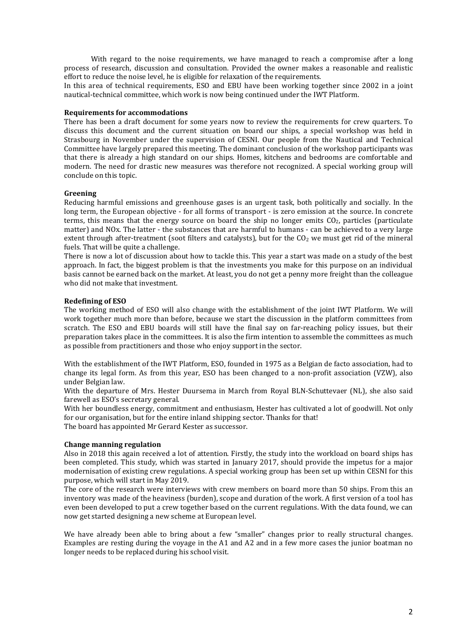With regard to the noise requirements, we have managed to reach a compromise after a long process of research, discussion and consultation. Provided the owner makes a reasonable and realistic effort to reduce the noise level, he is eligible for relaxation of the requirements.

In this area of technical requirements, ESO and EBU have been working together since 2002 in a joint nautical-technical committee, which work is now being continued under the IWT Platform.

## **Requirements for accommodations**

There has been a draft document for some years now to review the requirements for crew quarters. To discuss this document and the current situation on board our ships, a special workshop was held in Strasbourg in November under the supervision of CESNI. Our people from the Nautical and Technical Committee have largely prepared this meeting. The dominant conclusion of the workshop participants was that there is already a high standard on our ships. Homes, kitchens and bedrooms are comfortable and modern. The need for drastic new measures was therefore not recognized. A special working group will conclude on this topic.

# **Greening**

Reducing harmful emissions and greenhouse gases is an urgent task, both politically and socially. In the long term, the European objective - for all forms of transport - is zero emission at the source. In concrete terms, this means that the energy source on board the ship no longer emits  $CO<sub>2</sub>$ , particles (particulate matter) and NOx. The latter - the substances that are harmful to humans - can be achieved to a very large extent through after-treatment (soot filters and catalysts), but for the  $CO<sub>2</sub>$  we must get rid of the mineral fuels. That will be quite a challenge.

There is now a lot of discussion about how to tackle this. This year a start was made on a study of the best approach. In fact, the biggest problem is that the investments you make for this purpose on an individual basis cannot be earned back on the market. At least, you do not get a penny more freight than the colleague who did not make that investment.

# **Redefining of ESO**

The working method of ESO will also change with the establishment of the joint IWT Platform. We will work together much more than before, because we start the discussion in the platform committees from scratch. The ESO and EBU boards will still have the final say on far-reaching policy issues, but their preparation takes place in the committees. It is also the firm intention to assemble the committees as much as possible from practitioners and those who enjoy support in the sector.

With the establishment of the IWT Platform, ESO, founded in 1975 as a Belgian de facto association, had to change its legal form. As from this year, ESO has been changed to a non-profit association (VZW), also under Belgian law.

With the departure of Mrs. Hester Duursema in March from Royal BLN-Schuttevaer (NL), she also said farewell as ESO's secretary general.

With her boundless energy, commitment and enthusiasm, Hester has cultivated a lot of goodwill. Not only for our organisation, but for the entire inland shipping sector. Thanks for that! The board has appointed Mr Gerard Kester as successor.

### **Change manning regulation**

Also in 2018 this again received a lot of attention. Firstly, the study into the workload on board ships has been completed. This study, which was started in January 2017, should provide the impetus for a major modernisation of existing crew regulations. A special working group has been set up within CESNI for this purpose, which will start in May 2019.

The core of the research were interviews with crew members on board more than 50 ships. From this an inventory was made of the heaviness (burden), scope and duration of the work. A first version of a tool has even been developed to put a crew together based on the current regulations. With the data found, we can now get started designing a new scheme at European level.

We have already been able to bring about a few "smaller" changes prior to really structural changes. Examples are resting during the voyage in the A1 and A2 and in a few more cases the junior boatman no longer needs to be replaced during his school visit.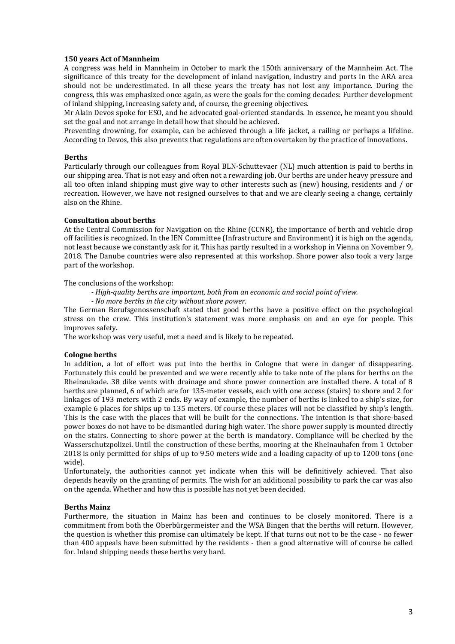# **150 years Act of Mannheim**

A congress was held in Mannheim in October to mark the 150th anniversary of the Mannheim Act. The significance of this treaty for the development of inland navigation, industry and ports in the ARA area should not be underestimated. In all these years the treaty has not lost any importance. During the congress, this was emphasized once again, as were the goals for the coming decades: Further development of inland shipping, increasing safety and, of course, the greening objectives.

Mr Alain Devos spoke for ESO, and he advocated goal-oriented standards. In essence, he meant you should set the goal and not arrange in detail how that should be achieved.

Preventing drowning, for example, can be achieved through a life jacket, a railing or perhaps a lifeline. According to Devos, this also prevents that regulations are often overtaken by the practice of innovations.

#### **Berths**

Particularly through our colleagues from Royal BLN-Schuttevaer (NL) much attention is paid to berths in our shipping area. That is not easy and often not a rewarding job. Our berths are under heavy pressure and all too often inland shipping must give way to other interests such as (new) housing, residents and / or recreation. However, we have not resigned ourselves to that and we are clearly seeing a change, certainly also on the Rhine.

#### **Consultation about berths**

At the Central Commission for Navigation on the Rhine (CCNR), the importance of berth and vehicle drop off facilities is recognized. In the IEN Committee (Infrastructure and Environment) it is high on the agenda, not least because we constantly ask for it. This has partly resulted in a workshop in Vienna on November 9, 2018. The Danube countries were also represented at this workshop. Shore power also took a very large part of the workshop.

The conclusions of the workshop:

- *High-quality berths are important, both from an economic and social point of view.*
- *No more berths in the city without shore power.*

The German Berufsgenossenschaft stated that good berths have a positive effect on the psychological stress on the crew. This institution's statement was more emphasis on and an eye for people. This improves safety.

The workshop was very useful, met a need and is likely to be repeated.

### **Cologne berths**

In addition, a lot of effort was put into the berths in Cologne that were in danger of disappearing. Fortunately this could be prevented and we were recently able to take note of the plans for berths on the Rheinaukade. 38 dike vents with drainage and shore power connection are installed there. A total of 8 berths are planned, 6 of which are for 135-meter vessels, each with one access (stairs) to shore and 2 for linkages of 193 meters with 2 ends. By way of example, the number of berths is linked to a ship's size, for example 6 places for ships up to 135 meters. Of course these places will not be classified by ship's length. This is the case with the places that will be built for the connections. The intention is that shore-based power boxes do not have to be dismantled during high water. The shore power supply is mounted directly on the stairs. Connecting to shore power at the berth is mandatory. Compliance will be checked by the Wasserschutzpolizei. Until the construction of these berths, mooring at the Rheinauhafen from 1 October 2018 is only permitted for ships of up to 9.50 meters wide and a loading capacity of up to 1200 tons (one wide).

Unfortunately, the authorities cannot yet indicate when this will be definitively achieved. That also depends heavily on the granting of permits. The wish for an additional possibility to park the car was also on the agenda. Whether and how this is possible has not yet been decided.

## **Berths Mainz**

Furthermore, the situation in Mainz has been and continues to be closely monitored. There is a commitment from both the Oberbürgermeister and the WSA Bingen that the berths will return. However, the question is whether this promise can ultimately be kept. If that turns out not to be the case - no fewer than 400 appeals have been submitted by the residents - then a good alternative will of course be called for. Inland shipping needs these berths very hard.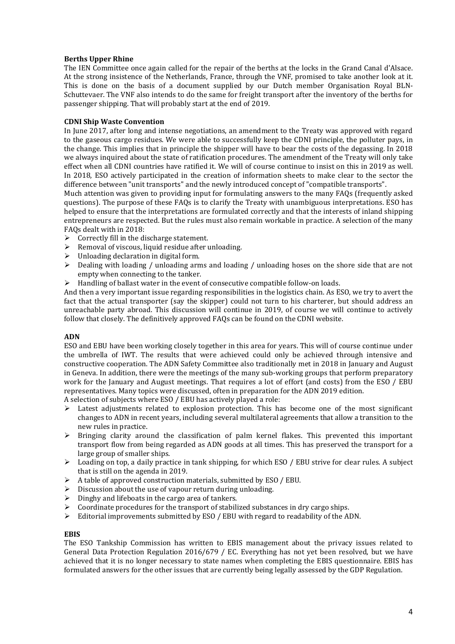# **Berths Upper Rhine**

The IEN Committee once again called for the repair of the berths at the locks in the Grand Canal d'Alsace. At the strong insistence of the Netherlands, France, through the VNF, promised to take another look at it. This is done on the basis of a document supplied by our Dutch member Organisation Royal BLN-Schuttevaer. The VNF also intends to do the same for freight transport after the inventory of the berths for passenger shipping. That will probably start at the end of 2019.

# **CDNI Ship Waste Convention**

In June 2017, after long and intense negotiations, an amendment to the Treaty was approved with regard to the gaseous cargo residues. We were able to successfully keep the CDNI principle, the polluter pays, in the change. This implies that in principle the shipper will have to bear the costs of the degassing. In 2018 we always inquired about the state of ratification procedures. The amendment of the Treaty will only take effect when all CDNI countries have ratified it. We will of course continue to insist on this in 2019 as well. In 2018, ESO actively participated in the creation of information sheets to make clear to the sector the difference between "unit transports" and the newly introduced concept of "compatible transports".

Much attention was given to providing input for formulating answers to the many FAQs (frequently asked questions). The purpose of these FAQs is to clarify the Treaty with unambiguous interpretations. ESO has helped to ensure that the interpretations are formulated correctly and that the interests of inland shipping entrepreneurs are respected. But the rules must also remain workable in practice. A selection of the many FAQs dealt with in 2018:

- $\triangleright$  Correctly fill in the discharge statement.
- $\triangleright$  Removal of viscous, liquid residue after unloading.
- $\triangleright$  Unloading declaration in digital form.
- $\triangleright$  Dealing with loading / unloading arms and loading / unloading hoses on the shore side that are not empty when connecting to the tanker.
- $\triangleright$  Handling of ballast water in the event of consecutive compatible follow-on loads.

And then a very important issue regarding responsibilities in the logistics chain. As ESO, we try to avert the fact that the actual transporter (say the skipper) could not turn to his charterer, but should address an unreachable party abroad. This discussion will continue in 2019, of course we will continue to actively follow that closely. The definitively approved FAQs can be found on the CDNI website.

### **ADN**

ESO and EBU have been working closely together in this area for years. This will of course continue under the umbrella of IWT. The results that were achieved could only be achieved through intensive and constructive cooperation. The ADN Safety Committee also traditionally met in 2018 in January and August in Geneva. In addition, there were the meetings of the many sub-working groups that perform preparatory work for the January and August meetings. That requires a lot of effort (and costs) from the ESO / EBU representatives. Many topics were discussed, often in preparation for the ADN 2019 edition.

A selection of subjects where ESO / EBU has actively played a role:

- $\triangleright$  Latest adjustments related to explosion protection. This has become one of the most significant changes to ADN in recent years, including several multilateral agreements that allow a transition to the new rules in practice.
- $\triangleright$  Bringing clarity around the classification of palm kernel flakes. This prevented this important transport flow from being regarded as ADN goods at all times. This has preserved the transport for a large group of smaller ships.
- Loading on top, a daily practice in tank shipping, for which ESO / EBU strive for clear rules. A subject that is still on the agenda in 2019.
- $\triangleright$  A table of approved construction materials, submitted by ESO / EBU.
- Discussion about the use of vapour return during unloading.
- $\triangleright$  Dinghy and lifeboats in the cargo area of tankers.
- $\triangleright$  Coordinate procedures for the transport of stabilized substances in dry cargo ships.
- $\triangleright$  Editorial improvements submitted by ESO / EBU with regard to readability of the ADN.

### **EBIS**

The ESO Tankship Commission has written to EBIS management about the privacy issues related to General Data Protection Regulation 2016/679 / EC. Everything has not yet been resolved, but we have achieved that it is no longer necessary to state names when completing the EBIS questionnaire. EBIS has formulated answers for the other issues that are currently being legally assessed by the GDP Regulation.